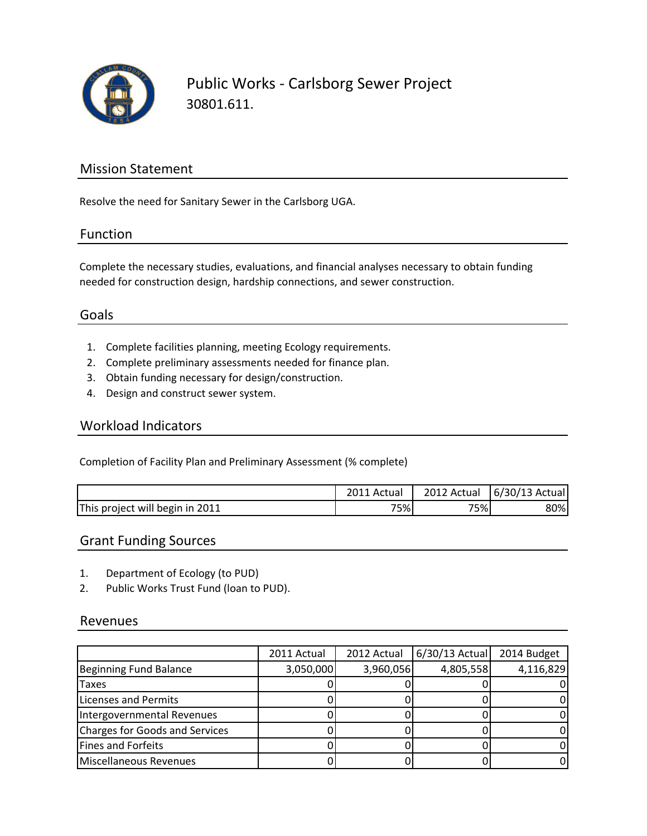

Public Works - Carlsborg Sewer Project 30801.611.

## Mission Statement

Resolve the need for Sanitary Sewer in the Carlsborg UGA.

### Function

Complete the necessary studies, evaluations, and financial analyses necessary to obtain funding needed for construction design, hardship connections, and sewer construction.

## Goals

- 1. Complete facilities planning, meeting Ecology requirements.
- 2. Complete preliminary assessments needed for finance plan.
- 3. Obtain funding necessary for design/construction.
- 4. Design and construct sewer system.

#### Workload Indicators

Completion of Facility Plan and Preliminary Assessment (% complete)

|                                 | ∠011 Actual | 2012 Actual | 6/30/13 Actual |
|---------------------------------|-------------|-------------|----------------|
| This project will begin in 2011 | 75%         | 75%         | 80%            |

### Grant Funding Sources

- 1. Department of Ecology (to PUD)
- 2. Public Works Trust Fund (loan to PUD).

#### Revenues

|                                | 2011 Actual | 2012 Actual | 6/30/13 Actual | 2014 Budget |
|--------------------------------|-------------|-------------|----------------|-------------|
| Beginning Fund Balance         | 3,050,000   | 3,960,056   | 4,805,558      | 4,116,829   |
| <b>Taxes</b>                   |             |             |                |             |
| Licenses and Permits           |             |             |                |             |
| Intergovernmental Revenues     |             |             |                |             |
| Charges for Goods and Services |             |             |                |             |
| Fines and Forfeits             |             |             |                |             |
| Miscellaneous Revenues         |             |             |                |             |